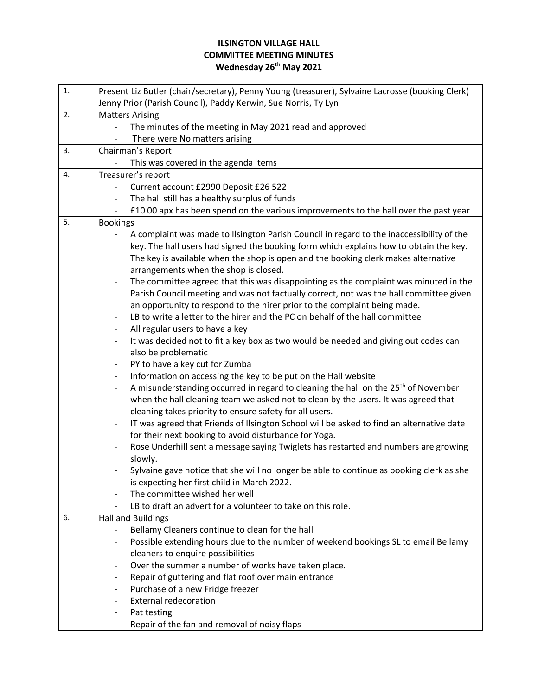## **ILSINGTON VILLAGE HALL COMMITTEE MEETING MINUTES Wednesday 26th May 2021**

| 1. | Present Liz Butler (chair/secretary), Penny Young (treasurer), Sylvaine Lacrosse (booking Clerk)                           |
|----|----------------------------------------------------------------------------------------------------------------------------|
|    | Jenny Prior (Parish Council), Paddy Kerwin, Sue Norris, Ty Lyn                                                             |
| 2. | <b>Matters Arising</b>                                                                                                     |
|    | The minutes of the meeting in May 2021 read and approved                                                                   |
|    | There were No matters arising                                                                                              |
| 3. | Chairman's Report                                                                                                          |
|    | This was covered in the agenda items                                                                                       |
| 4. | Treasurer's report                                                                                                         |
|    | Current account £2990 Deposit £26 522<br>$\overline{\phantom{a}}$                                                          |
|    | The hall still has a healthy surplus of funds                                                                              |
|    | £10 00 apx has been spend on the various improvements to the hall over the past year<br>$\overline{\phantom{a}}$           |
| 5. | <b>Bookings</b>                                                                                                            |
|    | A complaint was made to Ilsington Parish Council in regard to the inaccessibility of the                                   |
|    | key. The hall users had signed the booking form which explains how to obtain the key.                                      |
|    | The key is available when the shop is open and the booking clerk makes alternative                                         |
|    | arrangements when the shop is closed.                                                                                      |
|    | The committee agreed that this was disappointing as the complaint was minuted in the<br>$\overline{\phantom{a}}$           |
|    | Parish Council meeting and was not factually correct, not was the hall committee given                                     |
|    | an opportunity to respond to the hirer prior to the complaint being made.                                                  |
|    | LB to write a letter to the hirer and the PC on behalf of the hall committee                                               |
|    | All regular users to have a key                                                                                            |
|    | It was decided not to fit a key box as two would be needed and giving out codes can<br>$\overline{\phantom{a}}$            |
|    | also be problematic                                                                                                        |
|    | PY to have a key cut for Zumba                                                                                             |
|    | Information on accessing the key to be put on the Hall website                                                             |
|    | A misunderstanding occurred in regard to cleaning the hall on the 25 <sup>th</sup> of November<br>$\overline{\phantom{a}}$ |
|    | when the hall cleaning team we asked not to clean by the users. It was agreed that                                         |
|    | cleaning takes priority to ensure safety for all users.                                                                    |
|    | IT was agreed that Friends of Ilsington School will be asked to find an alternative date                                   |
|    | for their next booking to avoid disturbance for Yoga.                                                                      |
|    | Rose Underhill sent a message saying Twiglets has restarted and numbers are growing                                        |
|    | slowly.                                                                                                                    |
|    | Sylvaine gave notice that she will no longer be able to continue as booking clerk as she                                   |
|    | is expecting her first child in March 2022.                                                                                |
|    | The committee wished her well                                                                                              |
|    | LB to draft an advert for a volunteer to take on this role.<br>$\overline{\phantom{a}}$                                    |
| 6. | <b>Hall and Buildings</b>                                                                                                  |
|    | Bellamy Cleaners continue to clean for the hall<br>$\overline{\phantom{a}}$                                                |
|    | Possible extending hours due to the number of weekend bookings SL to email Bellamy<br>$\overline{\phantom{a}}$             |
|    | cleaners to enquire possibilities                                                                                          |
|    | Over the summer a number of works have taken place.                                                                        |
|    | Repair of guttering and flat roof over main entrance                                                                       |
|    | Purchase of a new Fridge freezer                                                                                           |
|    | <b>External redecoration</b>                                                                                               |
|    | Pat testing                                                                                                                |
|    | Repair of the fan and removal of noisy flaps<br>$\overline{\phantom{a}}$                                                   |